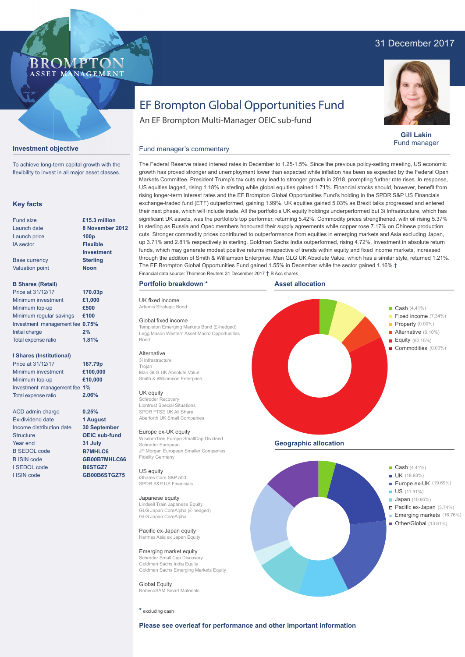## 31 December 2017



**Gill Lakin** Fund manager

# EF Brompton Global Opportunities Fund

An EF Brompton Multi-Manager OEIC sub-fund

Financial data source: Thomson Reuters 31 December 2017 † B Acc shares

## **Investment objective**

To achieve long-term capital growth with the flexibility to invest in all major asset classes.

**BROMPTO** ASSET MANAGEMENT

## **Key facts**

| Fund size              | £15.3 million     |
|------------------------|-------------------|
| Launch date            | 8 November 2012   |
| Launch price           | 100 <sub>p</sub>  |
| <b>IA</b> sector       | <b>Flexible</b>   |
|                        | <b>Investment</b> |
| <b>Base currency</b>   | <b>Sterling</b>   |
| <b>Valuation point</b> | <b>Noon</b>       |
|                        |                   |

## **B Shares (Retail)**

| Price at 31/12/17               | 170.03p |
|---------------------------------|---------|
| Minimum investment              | £1,000  |
| Minimum top-up                  | £500    |
| Minimum regular savings         | £100    |
| Investment management fee 0.75% |         |
| Initial charge                  | 2%      |
| Total expense ratio             | 1.81%   |

## **I Shares (Institutional)**

Minimum investment Minimum top-up Investment management fee **1%** Total expense ratio **£100,000 £10,000 167.79p** Price at 31/12/17 **2.06%**

> **0.25% 1 August 30 September OEIC sub-fund 31 July B7MHLC6 GB00B7MHLC66 B6STGZ7 GB00B6STGZ75**

ACD admin charge Ex-dividend date Income distribution date **Structure** Year end B SEDOL code B ISIN code I SEDOL code I ISIN code

The Federal Reserve raised interest rates in December to 1.25-1.5%. Since the previous policy-setting meeting, US economic growth has proved stronger and unemployment lower than expected while inflation has been as expected by the Federal Open Markets Committee. President Trump's tax cuts may lead to stronger growth in 2018, prompting further rate rises. In response, US equities lagged, rising 1.18% in sterling while global equities gained 1.71%. Financial stocks should, however, benefit from rising longer-term interest rates and the EF Brompton Global Opportunities Fund's holding in the SPDR S&P US Financials exchange-traded fund (ETF) outperformed, gaining 1.99%. UK equities gained 5.03% as Brexit talks progressed and entered their next phase, which will include trade. All the portfolio's UK equity holdings underperformed but 3i Infrastructure, which has significant UK assets, was the portfolio's top performer, returning 5.42%. Commodity prices strengthened, with oil rising 5.37% in sterling as Russia and Opec members honoured their supply agreements while copper rose 7.17% on Chinese production cuts. Stronger commodity prices contributed to outperformance from equities in emerging markets and Asia excluding Japan, up 3.71% and 2.81% respectively in sterling. Goldman Sachs India outperformed, rising 4.72%. Investment in absolute return funds, which may generate modest positive returns irrespective of trends within equity and fixed income markets, increased through the addition of Smith & Williamson Enterprise. Man GLG UK Absolute Value, which has a similar style, returned 1.21%.

## **Portfolio breakdown \***

Fund manager's commentary

UK fixed income Artemis Strategic Bond

#### Global fixed income

Templeton Emerging Markets Bond (£-hedged) Legg Mason Western Asset Macro Opportunities Bond

## **Alternative**

3i Infrastructure Trojan Man GLG UK Absolute Value Smith & Williamson Enterprise

#### UK equity

Schroder Recovery Liontrust Special Situations SPDR FTSE UK All Share Aberforth UK Small Companies

#### Europe ex-UK equity

WisdomTree Europe SmallCap Dividend Schroder European JP Morgan European Smaller Companies Fidelity Germany

#### US equity iShares Core S&P 500

SPDR S&P US Financials

#### Japanese equity

Lindsell Train Japanese Equity GLG Japan CoreAlpha (£-hedged) GLG Japan CoreAlpha

Pacific ex-Japan equity Hermes Asia ex Japan Equity

## Emerging market equity

Schroder Small Cap Discovery Goldman Sachs India Equity Goldman Sachs Emerging Markets Equity

Global Equity RobecoSAM Smart Materials

**\*** excluding cash